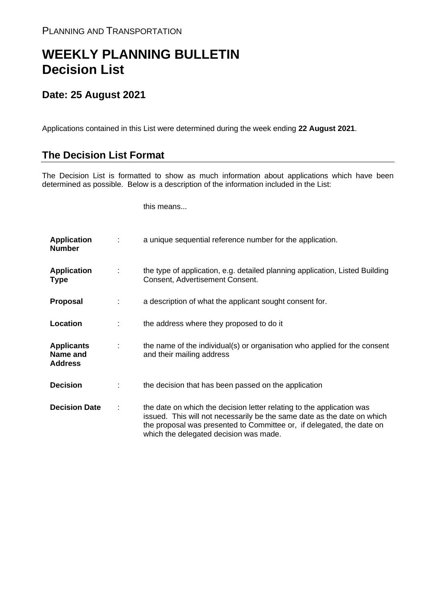## **WEEKLY PLANNING BULLETIN Decision List**

## **Date: 25 August 2021**

Applications contained in this List were determined during the week ending **22 August 2021**.

## **The Decision List Format**

The Decision List is formatted to show as much information about applications which have been determined as possible. Below is a description of the information included in the List:

this means...

| <b>Application</b><br><b>Number</b>             | a unique sequential reference number for the application.                                                                                                                                                                                                           |
|-------------------------------------------------|---------------------------------------------------------------------------------------------------------------------------------------------------------------------------------------------------------------------------------------------------------------------|
| <b>Application</b><br><b>Type</b>               | the type of application, e.g. detailed planning application, Listed Building<br>Consent, Advertisement Consent.                                                                                                                                                     |
| <b>Proposal</b>                                 | a description of what the applicant sought consent for.                                                                                                                                                                                                             |
| Location                                        | the address where they proposed to do it                                                                                                                                                                                                                            |
| <b>Applicants</b><br>Name and<br><b>Address</b> | the name of the individual(s) or organisation who applied for the consent<br>and their mailing address                                                                                                                                                              |
| <b>Decision</b>                                 | the decision that has been passed on the application                                                                                                                                                                                                                |
| <b>Decision Date</b>                            | the date on which the decision letter relating to the application was<br>issued. This will not necessarily be the same date as the date on which<br>the proposal was presented to Committee or, if delegated, the date on<br>which the delegated decision was made. |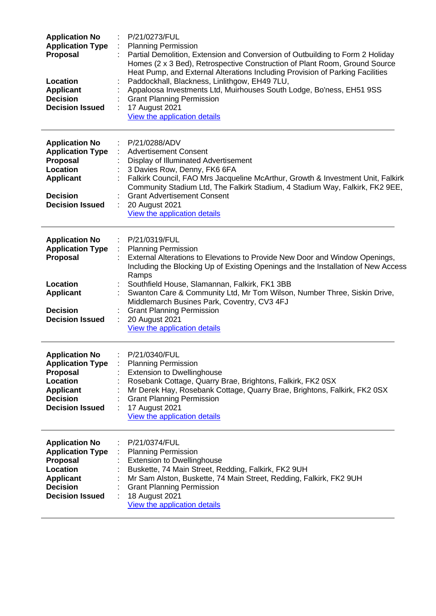| <b>Application No</b><br><b>Application Type</b><br>Proposal<br>Location<br><b>Applicant</b><br><b>Decision</b><br><b>Decision Issued</b>        | P/21/0273/FUL<br><b>Planning Permission</b><br>Partial Demolition, Extension and Conversion of Outbuilding to Form 2 Holiday<br>Homes (2 x 3 Bed), Retrospective Construction of Plant Room, Ground Source<br>Heat Pump, and External Alterations Including Provision of Parking Facilities<br>Paddockhall, Blackness, Linlithgow, EH49 7LU,<br>Appaloosa Investments Ltd, Muirhouses South Lodge, Bo'ness, EH51 9SS<br><b>Grant Planning Permission</b><br>17 August 2021<br>View the application details |
|--------------------------------------------------------------------------------------------------------------------------------------------------|------------------------------------------------------------------------------------------------------------------------------------------------------------------------------------------------------------------------------------------------------------------------------------------------------------------------------------------------------------------------------------------------------------------------------------------------------------------------------------------------------------|
| <b>Application No</b><br><b>Application Type</b><br>Proposal<br><b>Location</b><br><b>Applicant</b><br><b>Decision</b><br><b>Decision Issued</b> | P/21/0288/ADV<br><b>Advertisement Consent</b><br>Display of Illuminated Advertisement<br>3 Davies Row, Denny, FK6 6FA<br>Falkirk Council, FAO Mrs Jacqueline McArthur, Growth & Investment Unit, Falkirk<br>Community Stadium Ltd, The Falkirk Stadium, 4 Stadium Way, Falkirk, FK2 9EE,<br><b>Grant Advertisement Consent</b><br>20 August 2021<br><b>View the application details</b>                                                                                                                    |
| <b>Application No</b><br><b>Application Type</b><br>Proposal<br>Location<br><b>Applicant</b><br><b>Decision</b><br><b>Decision Issued</b>        | P/21/0319/FUL<br><b>Planning Permission</b><br>External Alterations to Elevations to Provide New Door and Window Openings,<br>Including the Blocking Up of Existing Openings and the Installation of New Access<br>Ramps<br>Southfield House, Slamannan, Falkirk, FK1 3BB<br>Swanton Care & Community Ltd, Mr Tom Wilson, Number Three, Siskin Drive,<br>Middlemarch Busines Park, Coventry, CV3 4FJ<br><b>Grant Planning Permission</b><br>20 August 2021<br>View the application details                 |
| <b>Application No</b><br><b>Application Type</b><br>Proposal<br>Location<br><b>Applicant</b><br><b>Decision</b><br><b>Decision Issued</b>        | P/21/0340/FUL<br><b>Planning Permission</b><br><b>Extension to Dwellinghouse</b><br>Rosebank Cottage, Quarry Brae, Brightons, Falkirk, FK2 0SX<br>Mr Derek Hay, Rosebank Cottage, Quarry Brae, Brightons, Falkirk, FK2 0SX<br><b>Grant Planning Permission</b><br>17 August 2021<br>View the application details                                                                                                                                                                                           |
| <b>Application No</b><br><b>Application Type</b><br>Proposal<br>Location<br><b>Applicant</b><br><b>Decision</b><br><b>Decision Issued</b>        | P/21/0374/FUL<br><b>Planning Permission</b><br><b>Extension to Dwellinghouse</b><br>Buskette, 74 Main Street, Redding, Falkirk, FK2 9UH<br>Mr Sam Alston, Buskette, 74 Main Street, Redding, Falkirk, FK2 9UH<br><b>Grant Planning Permission</b><br>18 August 2021<br>View the application details                                                                                                                                                                                                        |